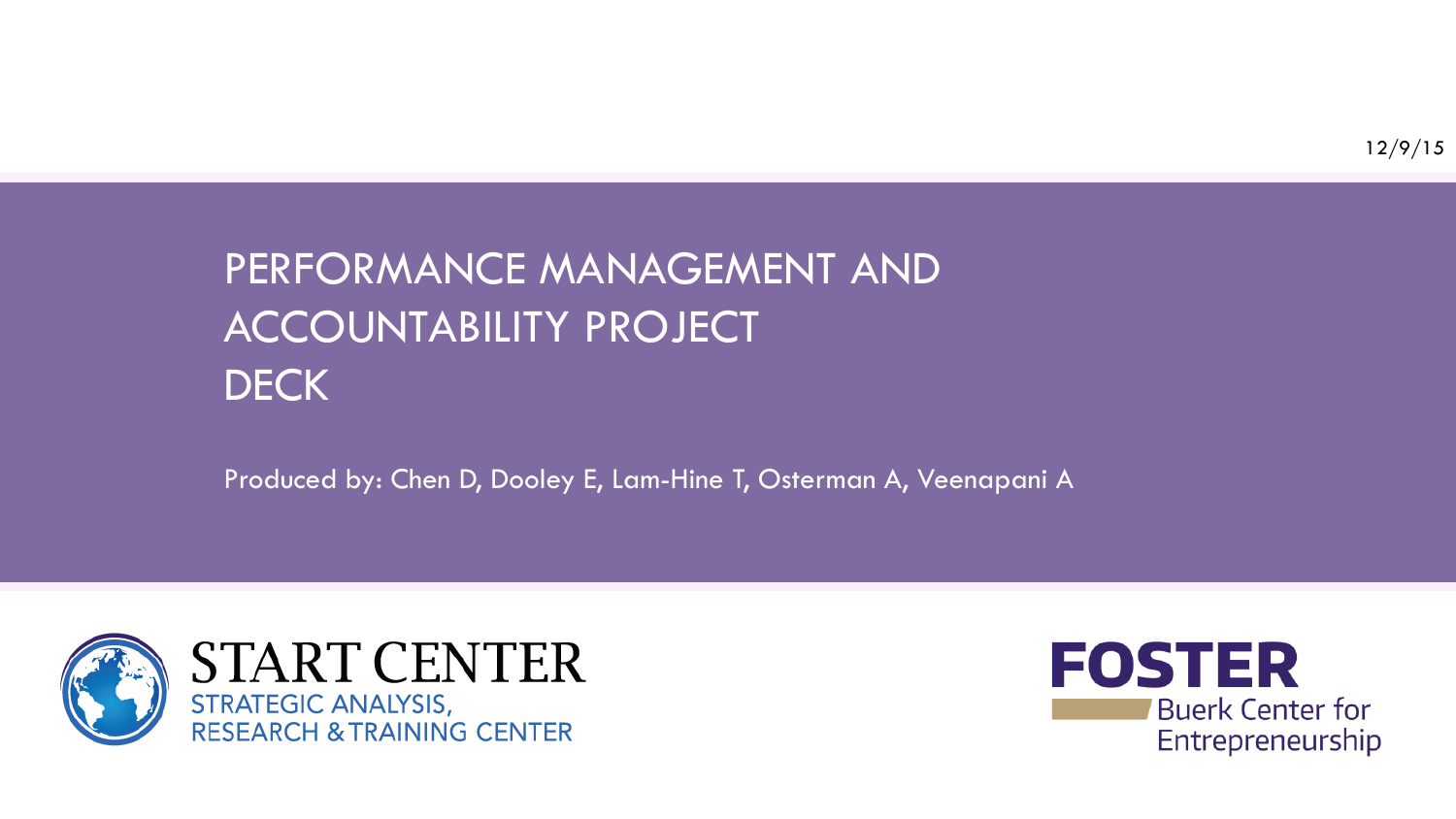# PERFORMANCE MANAGEMENT AND ACCOUNTABILITY PROJECT **DECK**

Produced by: Chen D, Dooley E, Lam-Hine T, Osterman A, Veenapani A



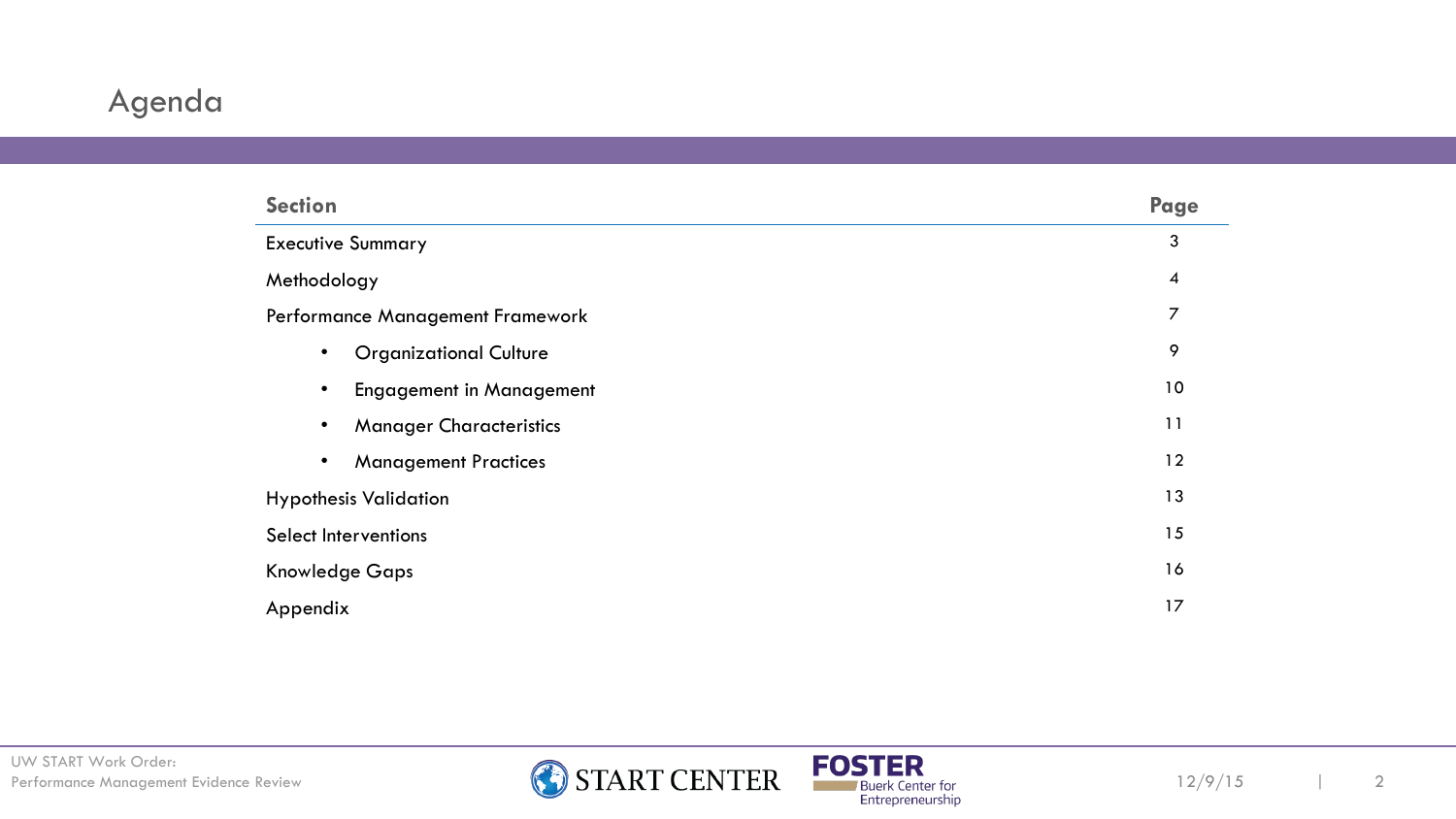## Agenda

| <b>Section</b>                               | Page |  |
|----------------------------------------------|------|--|
| <b>Executive Summary</b>                     |      |  |
| Methodology                                  |      |  |
| Performance Management Framework             |      |  |
| <b>Organizational Culture</b><br>$\bullet$   | 9    |  |
| <b>Engagement in Management</b><br>$\bullet$ | 10   |  |
| <b>Manager Characteristics</b><br>$\bullet$  | 11   |  |
| <b>Management Practices</b><br>$\bullet$     | 12   |  |
| <b>Hypothesis Validation</b>                 |      |  |
| <b>Select Interventions</b>                  |      |  |
| <b>Knowledge Gaps</b>                        |      |  |
| Appendix                                     |      |  |



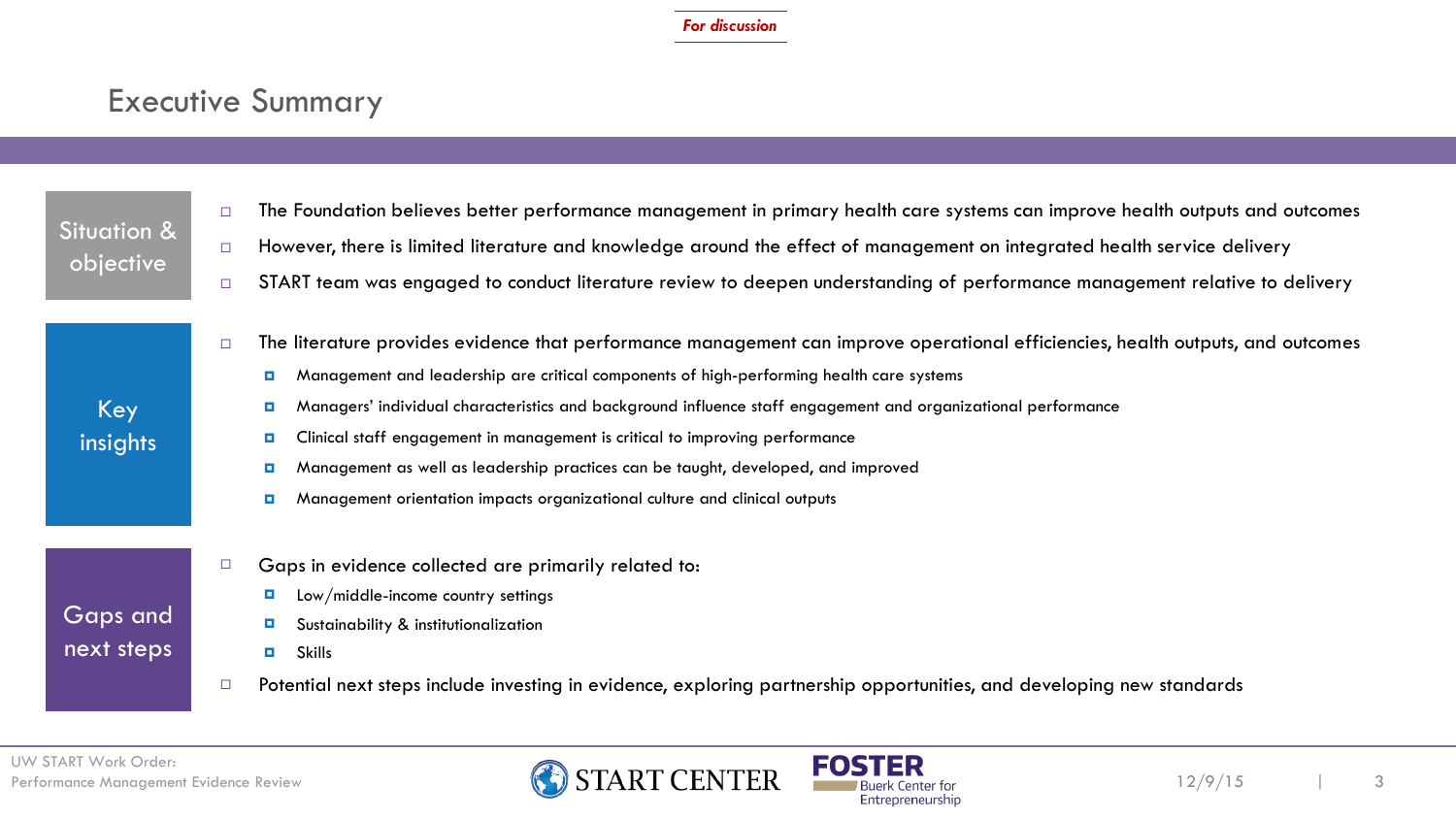### Executive Summary

| <b>Situation &amp;</b><br>objective | The Foundation believes better performance management in primary health care systems can improve health outputs and outcomes<br>□                                                                                                                                                                                                                                                                                                                                                                                                                                                                                                                      |
|-------------------------------------|--------------------------------------------------------------------------------------------------------------------------------------------------------------------------------------------------------------------------------------------------------------------------------------------------------------------------------------------------------------------------------------------------------------------------------------------------------------------------------------------------------------------------------------------------------------------------------------------------------------------------------------------------------|
|                                     | However, there is limited literature and knowledge around the effect of management on integrated health service delivery<br>$\Box$                                                                                                                                                                                                                                                                                                                                                                                                                                                                                                                     |
|                                     | START team was engaged to conduct literature review to deepen understanding of performance management relative to delivery<br>$\Box$                                                                                                                                                                                                                                                                                                                                                                                                                                                                                                                   |
| Key<br>insights                     | The literature provides evidence that performance management can improve operational efficiencies, health outputs, and outcomes<br>$\Box$<br>Management and leadership are critical components of high-performing health care systems<br>$\blacksquare$<br>Managers' individual characteristics and background influence staff engagement and organizational performance<br>$\Box$<br>Clinical staff engagement in management is critical to improving performance<br>o.<br>Management as well as leadership practices can be taught, developed, and improved<br>o.<br>Management orientation impacts organizational culture and clinical outputs<br>о |
| Gaps and<br>next steps              | Gaps in evidence collected are primarily related to:<br>$\Box$<br>Low/middle-income country settings<br>o.<br>Sustainability & institutionalization<br>o.<br><b>Skills</b><br>$\blacksquare$<br>Potential next steps include investing in evidence, exploring partnership opportunities, and developing new standards                                                                                                                                                                                                                                                                                                                                  |



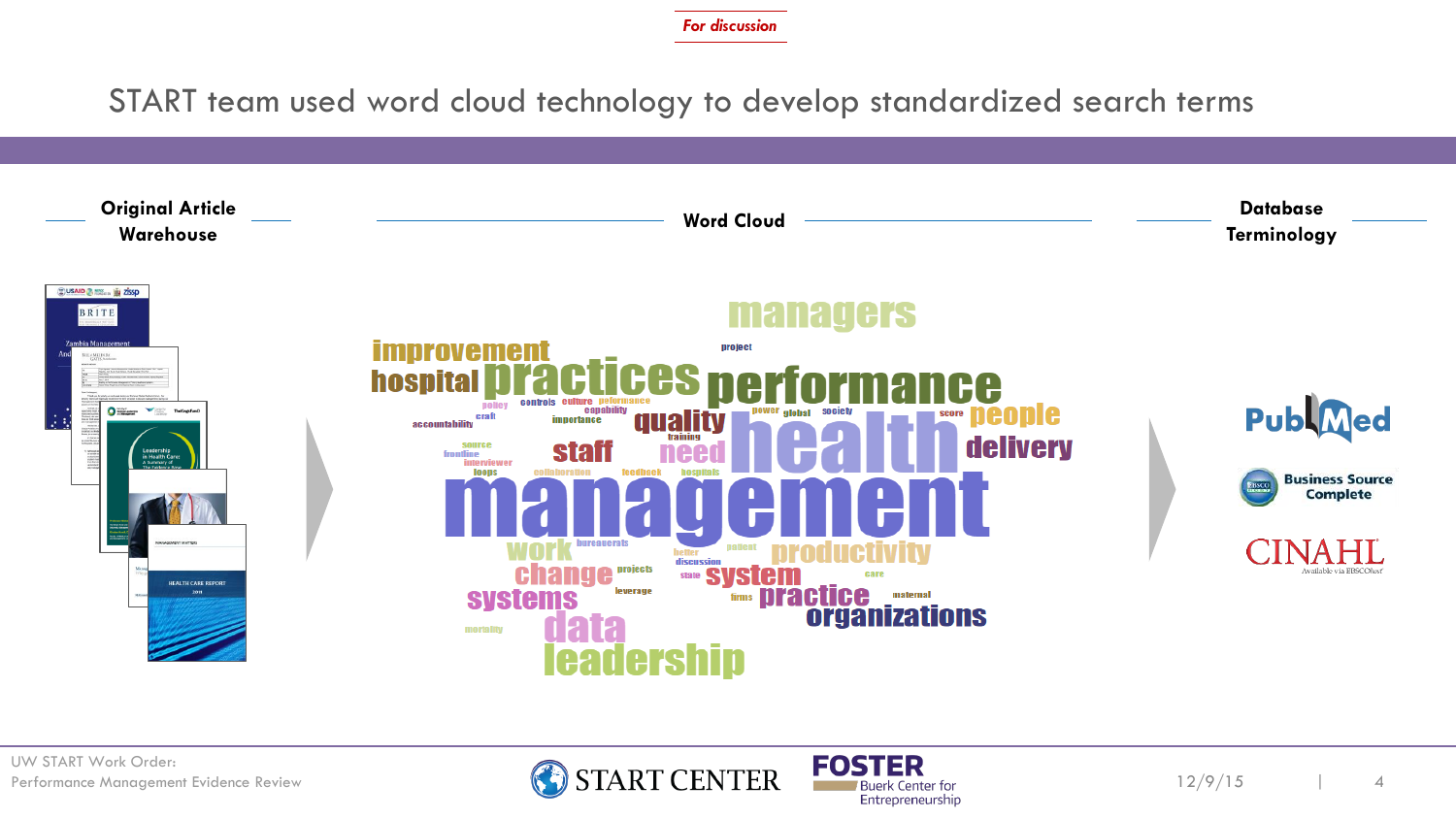START team used word cloud technology to develop standardized search terms





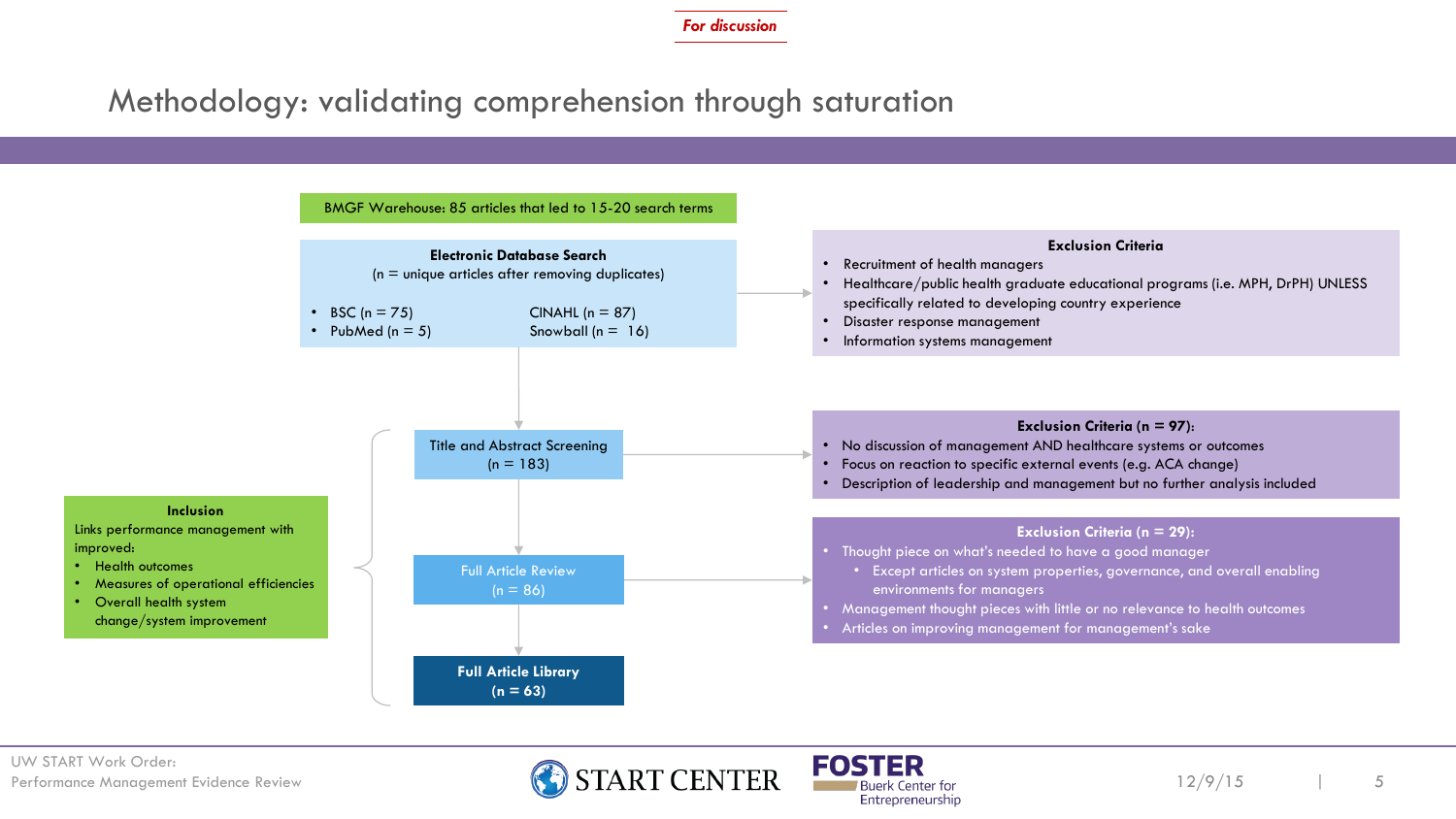### Methodology: validating comprehension through saturation





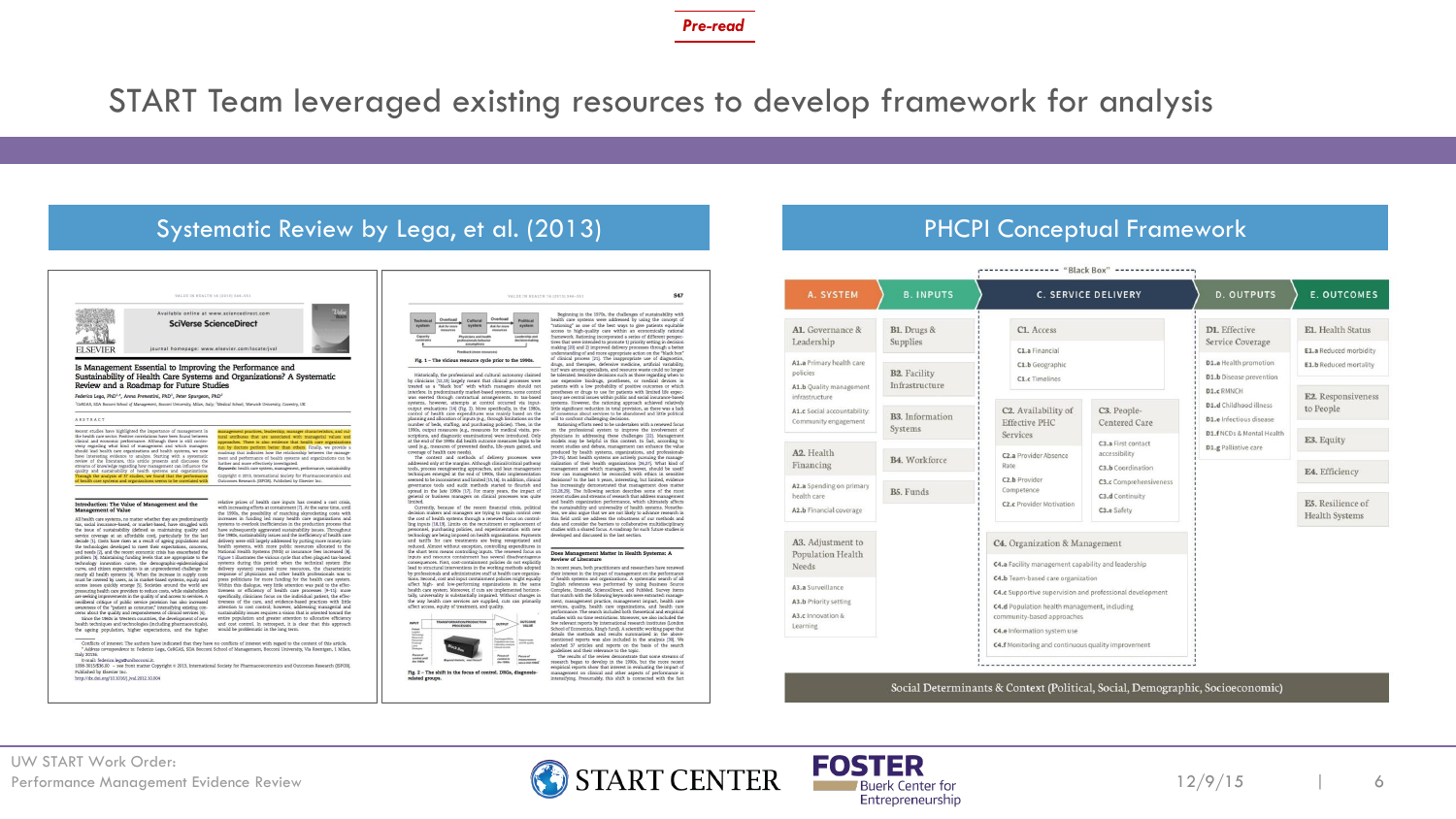START Team leveraged existing resources to develop framework for analysis

#### Systematic Review by Lega, et al. (2013) **PHCPI Conceptual Framework**



use expensive biodrugs, prostheses, or medical devices in<br>patients with a low probability of positive outcomes or which prostheses or drugs to use for patients with limited life expec tancy are central issues within public and social insurance-base systems. However, the rationing approach achieved relative little significant reduction in total provision, as there was a lack<br>of consensus about services to be abandoned and little political Rationing efforts need to be undertaken with a renewed focus

recent studies and debate, management can enhance the value produced by health systems, organizations, and professionals risilized in the management and professionals risilization of their health organizations [25,27]. Wha decisions? In the last 5 years, interesting, but limited, evidence<br>has increasingly demonstrated that management does matter<br>[13,28,29]. The following section describes some of the most<br>recent studies and streams of resear

> The results of the review demonstrate that some streams of<br>research began to develop in the 1990s, but the more recent<br>empirical reports show that interest in evaluating the impact of management on clinical and other aspects of performance is<br>intensifying, Presumably, this shift is connected with the fact

#### A1. Governance & B1. Drugs & C1. Access D1. Effective Leadership Supplies Service Coverage C1.a Financial A1.a Primary health care D1.a Health promotion C1.b Geographic policies **B2.** Facility D1.b Disease prevention C1.c Timelines Infrastructure A1.b Quality management D1.c RMNCH infrastructure D1.d Childhood illness C<sub>2</sub>. Availability of A1.c Social accountability: C3. People-B3. Information D1.e Infectious disease Community engagement **Effective PHC** Centered Care Systems D1.f NCDs & Mental Health Services C3.a First contact D1.g Palliative care A2. Health accessibility C2.a Provider Absence B4. Workforce Financing Rate C3.b Coordination C<sub>2</sub>.b Provider **C3.c** Comprehensiveness A2.a Spending on primary B5. Funds Competence health care C3.d Continuity C<sub>2</sub> e Provider Motivation A2.b Financial coverage C3.e Safety A3. Adjustment to C4. Organization & Management Population Health C4.a Facility management capability and leadership Needs C4.b Team-based care organization A3.a Surveillance C4.c Supportive supervision and professional development A3.b Priority setting C4.d Population health management, including A3.c Innovation & community-based approaches Learning C4.e Information system use C4.f Monitoring and continuous quality improvement

Social Determinants & Context (Political, Social, Demographic, Socioeconomic)

r - - - - - - - - - - - - - - "Black Box" - - - - - - - - - - - - - - - -

C. SERVICE DELIVERY

### UW START Work Order:





A. SYSTEM

**B. INPUTS** 

**D. OUTPUTS** 

E. OUTCOMES

E1. Health Status

E1.a Reduced morbidity

E1.b Reduced mortality

E2. Responsiveness

to People

E3. Equity

E4. Efficiency

E5. Resilience of

Health Systems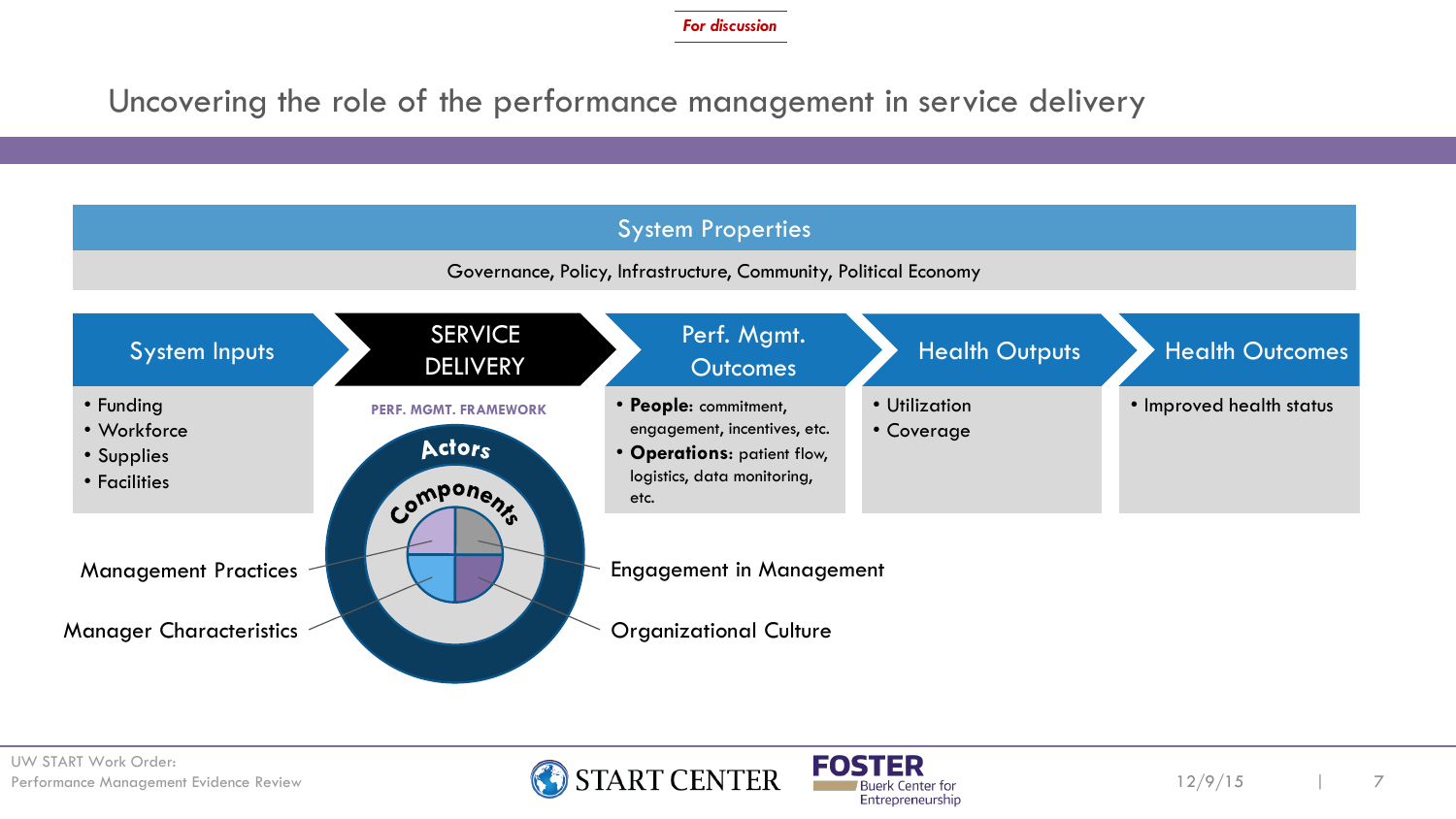Uncovering the role of the performance management in service delivery

### System Properties

Governance, Policy, Infrastructure, Community, Political Economy





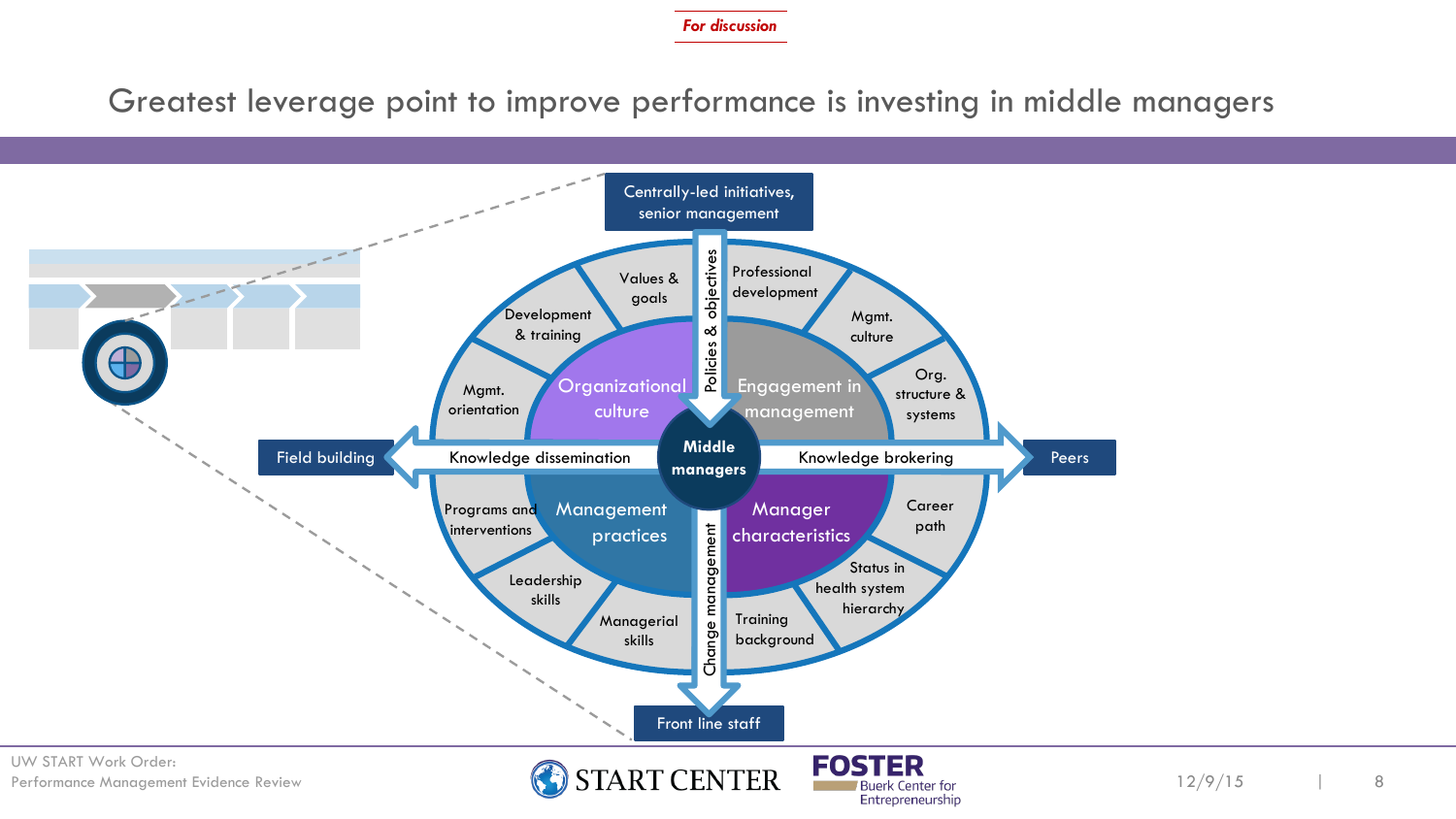Greatest leverage point to improve performance is investing in middle managers

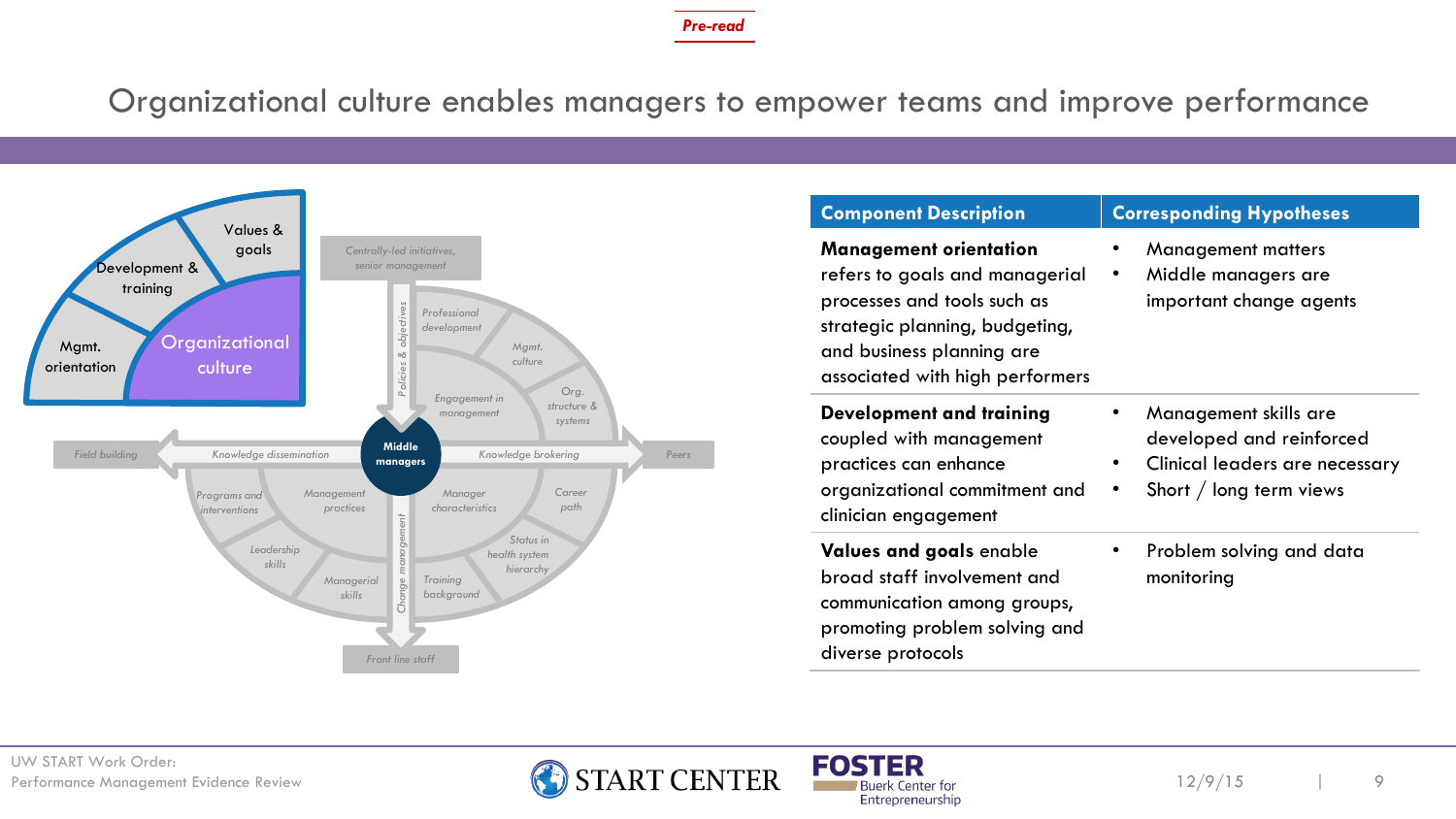Organizational culture enables managers to empower teams and improve performance



| <b>Component Description</b>                                                                                                                                                                     | <b>Corresponding Hypotheses</b>                                                                                                          |
|--------------------------------------------------------------------------------------------------------------------------------------------------------------------------------------------------|------------------------------------------------------------------------------------------------------------------------------------------|
| <b>Management orientation</b><br>refers to goals and managerial<br>processes and tools such as<br>strategic planning, budgeting,<br>and business planning are<br>associated with high performers | <b>Management matters</b><br>Middle managers are<br>$\bullet$<br>important change agents                                                 |
| Development and training<br>coupled with management<br>practices can enhance<br>organizational commitment and<br>clinician engagement                                                            | Management skills are<br>developed and reinforced<br>Clinical leaders are necessary<br>$\bullet$<br>Short / long term views<br>$\bullet$ |
| Values and goals enable<br>broad staff involvement and<br>communication among groups,<br>promoting problem solving and<br>diverse protocols                                                      | Problem solving and data<br>monitoring                                                                                                   |



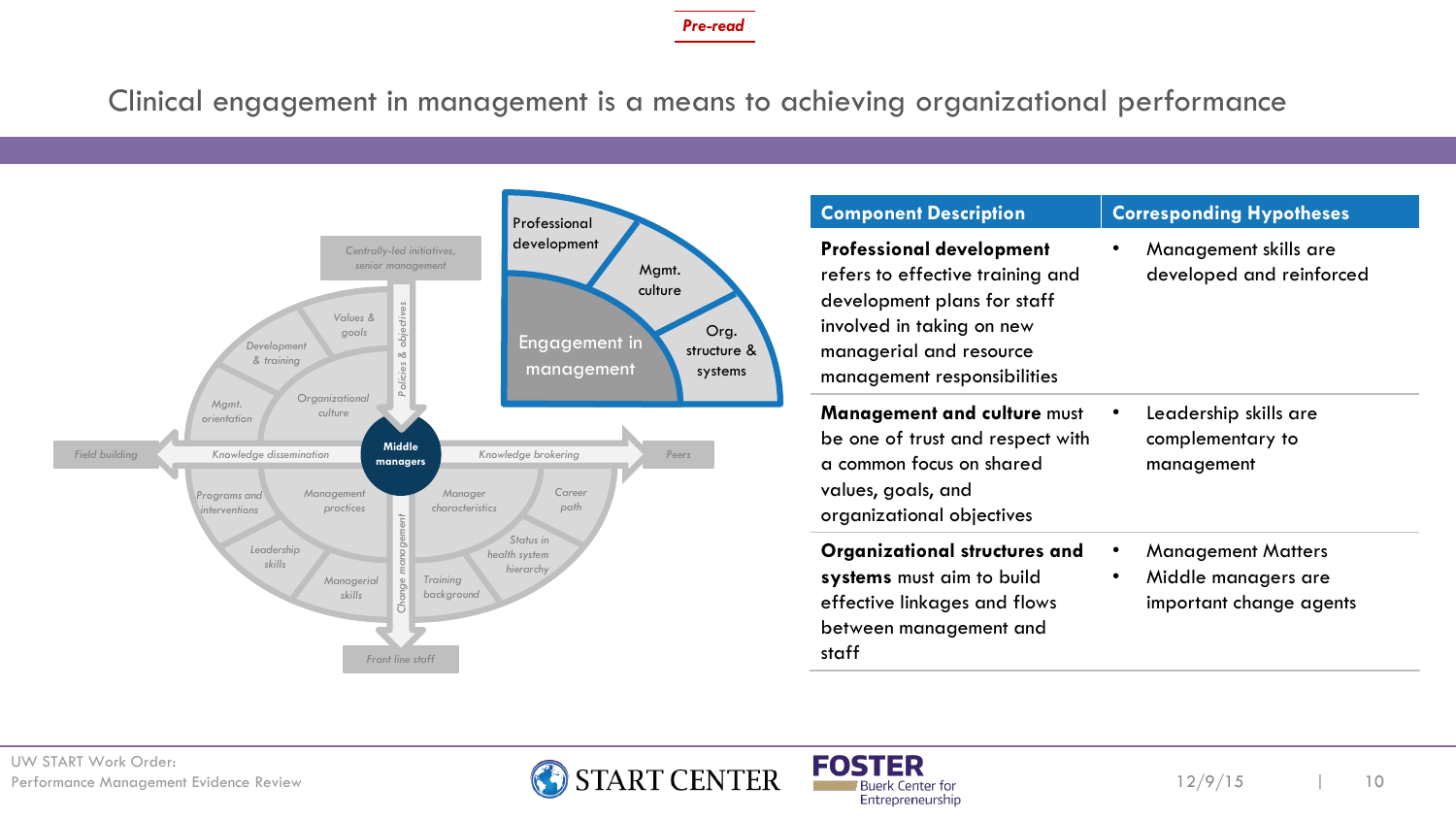Clinical engagement in management is a means to achieving organizational performance



| <b>Component Description</b>                                                                                                                                                              | <b>Corresponding Hypotheses</b>                                                  |  |  |
|-------------------------------------------------------------------------------------------------------------------------------------------------------------------------------------------|----------------------------------------------------------------------------------|--|--|
| <b>Professional development</b><br>refers to effective training and<br>development plans for staff<br>involved in taking on new<br>managerial and resource<br>management responsibilities | Management skills are<br>٠<br>developed and reinforced                           |  |  |
| <b>Management and culture must</b><br>be one of trust and respect with<br>a common focus on shared<br>values, goals, and<br>organizational objectives                                     | Leadership skills are<br>complementary to<br>management                          |  |  |
| Organizational structures and<br>systems must aim to build<br>effective linkages and flows<br>between management and<br>staff                                                             | <b>Management Matters</b><br>٠<br>Middle managers are<br>important change agents |  |  |



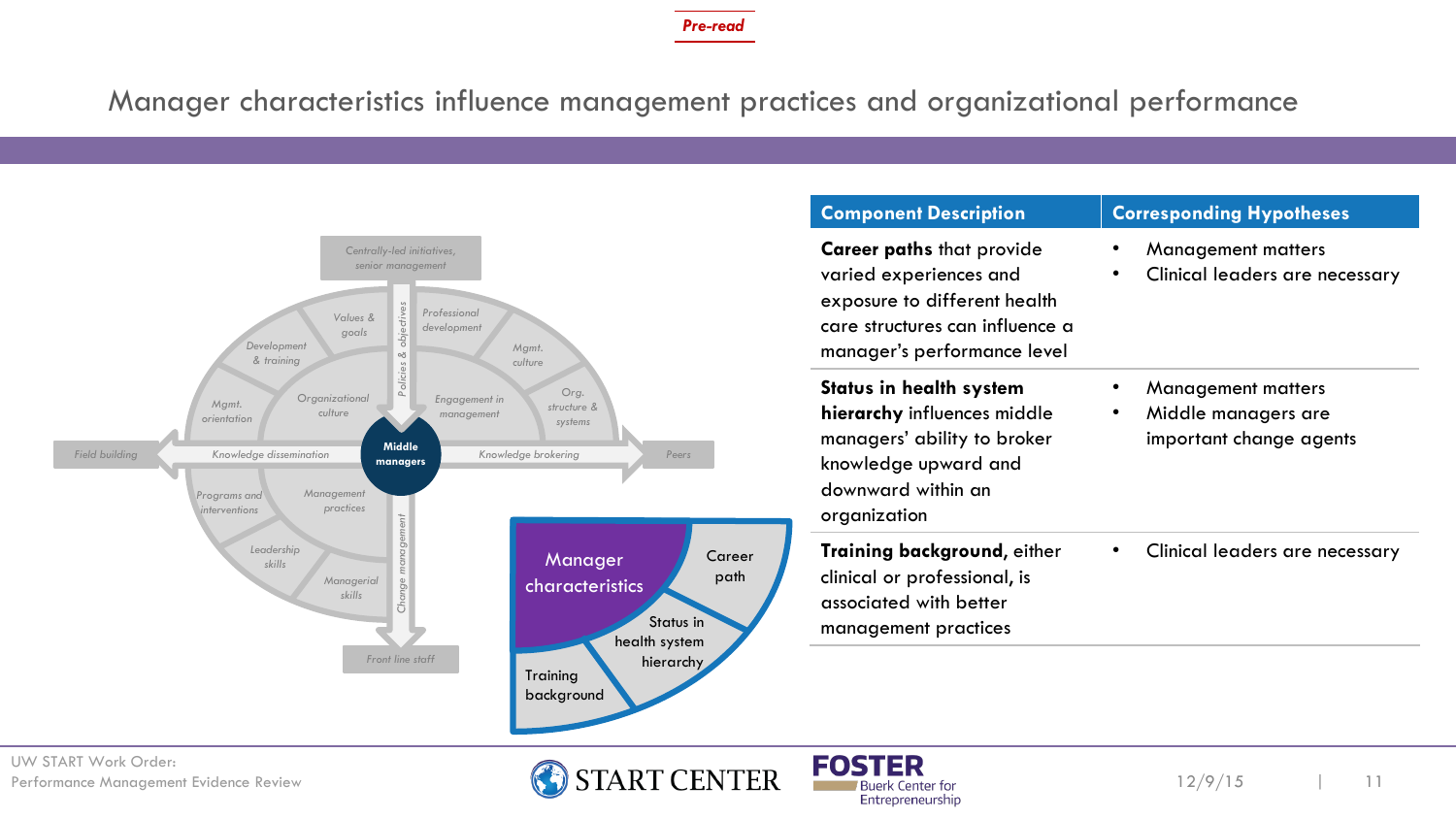Manager characteristics influence management practices and organizational performance



Entrepreneurship

12/9/15 11

UW START Work Order: UW START Work Order:<br>Performance Management Evidence Review **1999 START CENTER** FOSTER

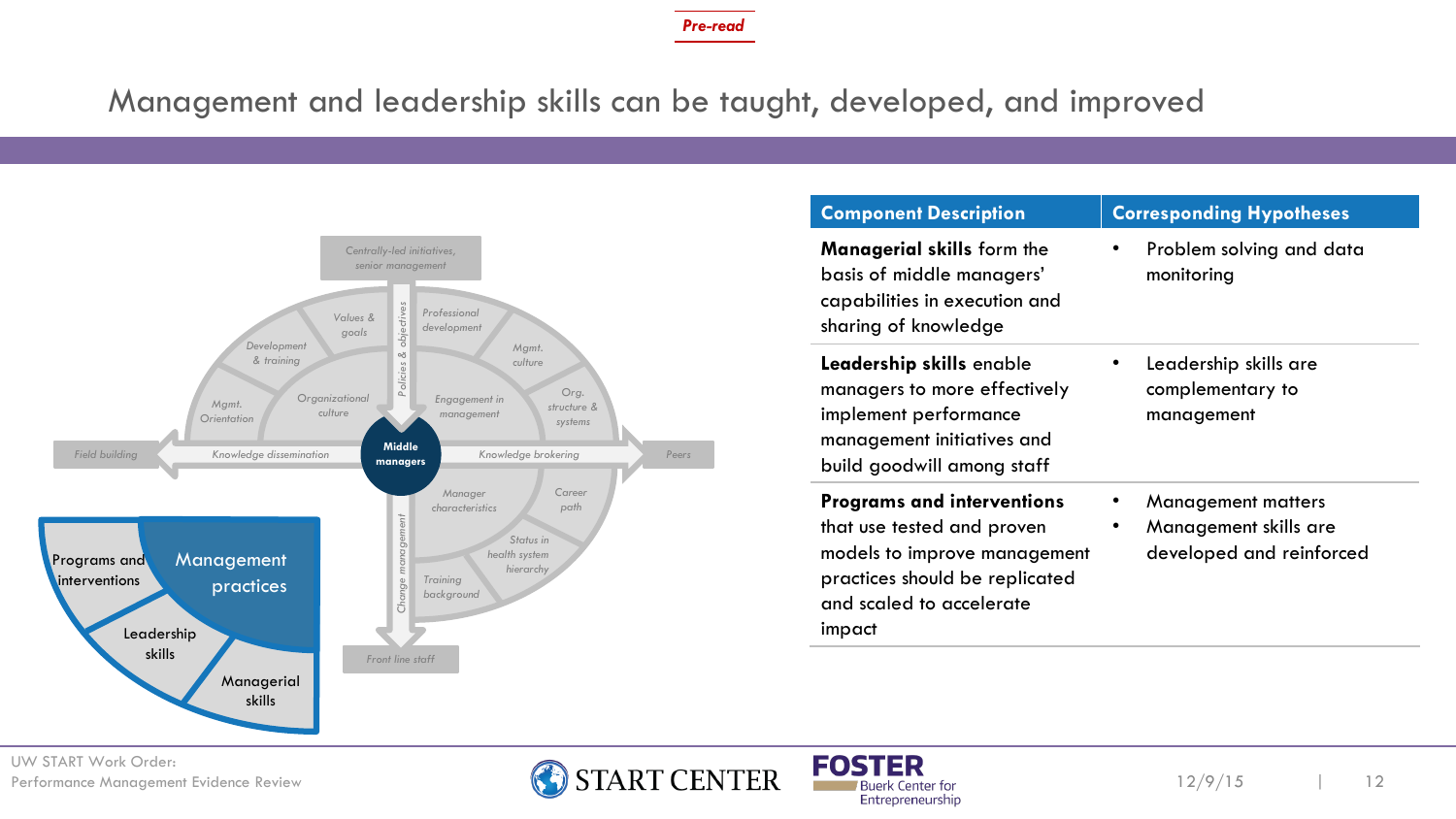### Management and leadership skills can be taught, developed, and improved



| <b>Component Description</b>                                                                                                                                            | <b>Corresponding Hypotheses</b>                                                     |
|-------------------------------------------------------------------------------------------------------------------------------------------------------------------------|-------------------------------------------------------------------------------------|
| <b>Managerial skills form the</b><br>basis of middle managers'<br>capabilities in execution and<br>sharing of knowledge                                                 | Problem solving and data<br>$\bullet$<br>monitoring                                 |
| Leadership skills enable<br>managers to more effectively<br>implement performance<br>management initiatives and<br>build goodwill among staff                           | Leadership skills are<br>complementary to<br>management                             |
| <b>Programs and interventions</b><br>that use tested and proven<br>models to improve management<br>practices should be replicated<br>and scaled to accelerate<br>impact | <b>Management matters</b><br>Management skills are<br>٠<br>developed and reinforced |



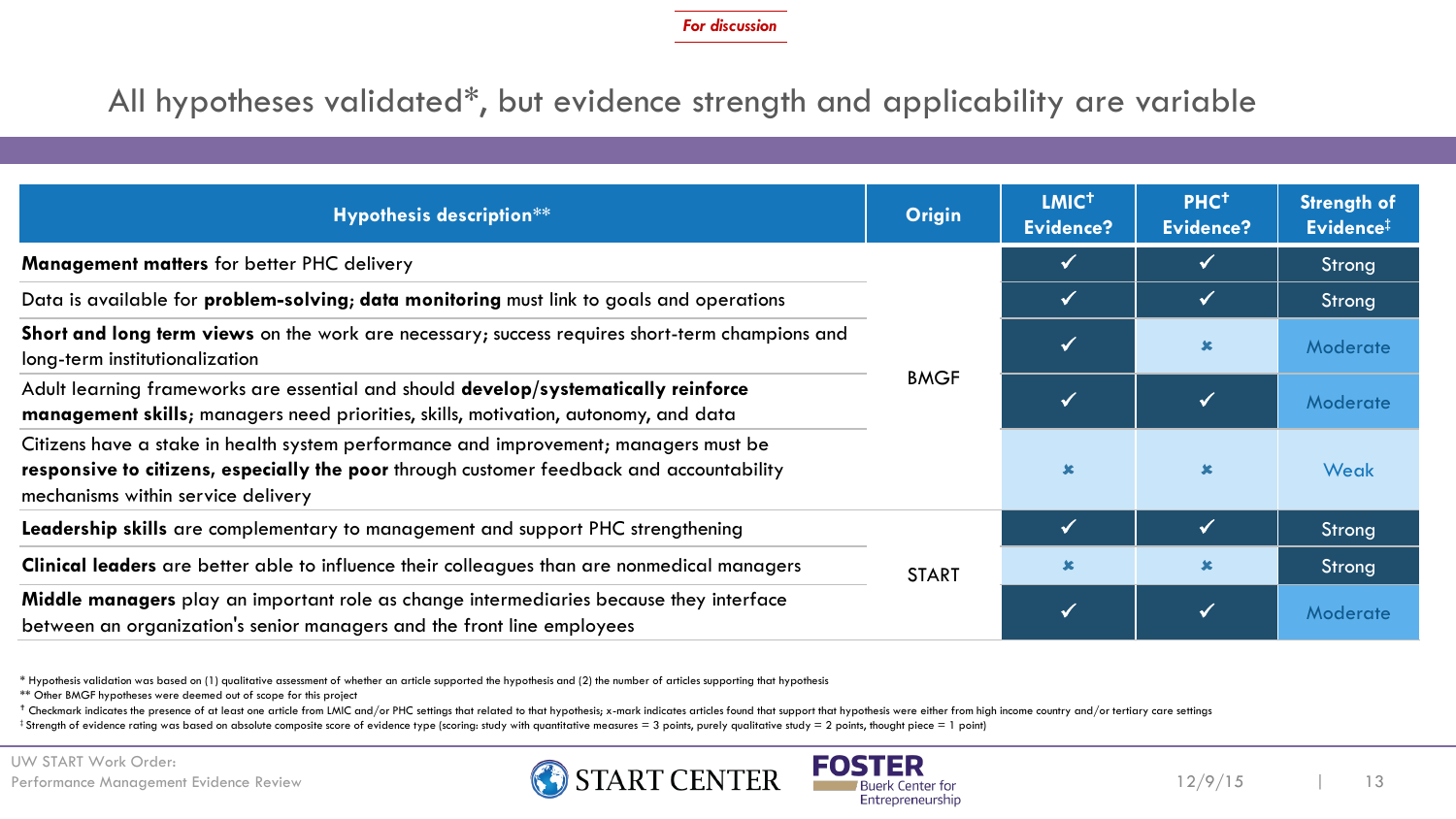### All hypotheses validated\*, but evidence strength and applicability are variable

| Hypothesis description**                                                                                                                                                                                               | <b>Origin</b> | LMIC <sup>+</sup><br>Evidence? | PHC <sup>+</sup><br>Evidence? | <b>Strength of</b><br>Evidence <sup>#</sup> |
|------------------------------------------------------------------------------------------------------------------------------------------------------------------------------------------------------------------------|---------------|--------------------------------|-------------------------------|---------------------------------------------|
| Management matters for better PHC delivery                                                                                                                                                                             |               |                                |                               | Strong                                      |
| Data is available for <b>problem-solving; data monitoring</b> must link to goals and operations                                                                                                                        | <b>BMGF</b>   | $\checkmark$                   | $\checkmark$                  | Strong                                      |
| Short and long term views on the work are necessary; success requires short-term champions and<br>long-term institutionalization                                                                                       |               |                                | $\mathbf x$                   | <b>Moderate</b>                             |
| Adult learning frameworks are essential and should develop/systematically reinforce<br>management skills; managers need priorities, skills, motivation, autonomy, and data                                             |               |                                |                               | Moderate                                    |
| Citizens have a stake in health system performance and improvement; managers must be<br>responsive to citizens, especially the poor through customer feedback and accountability<br>mechanisms within service delivery |               |                                | $\mathbf x$                   | Weak                                        |
| Leadership skills are complementary to management and support PHC strengthening                                                                                                                                        | <b>START</b>  | $\checkmark$                   | $\sqrt{}$                     | Strong                                      |
| Clinical leaders are better able to influence their colleagues than are nonmedical managers                                                                                                                            |               | $\mathbf x$                    | $\mathbf x$                   | Strong                                      |
| Middle managers play an important role as change intermediaries because they interface<br>between an organization's senior managers and the front line employees                                                       |               |                                |                               | Moderate                                    |

\* Hypothesis validation was based on (1) qualitative assessment of whether an article supported the hypothesis and (2) the number of articles supporting that hypothesis

\*\* Other BMGF hypotheses were deemed out of scope for this project

+ Checkmark indicates the presence of at least one article from LMIC and/or PHC settings that related to that hypothesis; x-mark indicates articles found that support that hypothesis were either from high income country an

 $\ddagger$  Strength of evidence rating was based on absolute composite score of evidence type (scoring: study with quantitative measures = 3 points, purely qualitative study = 2 points, thought piece = 1 point)



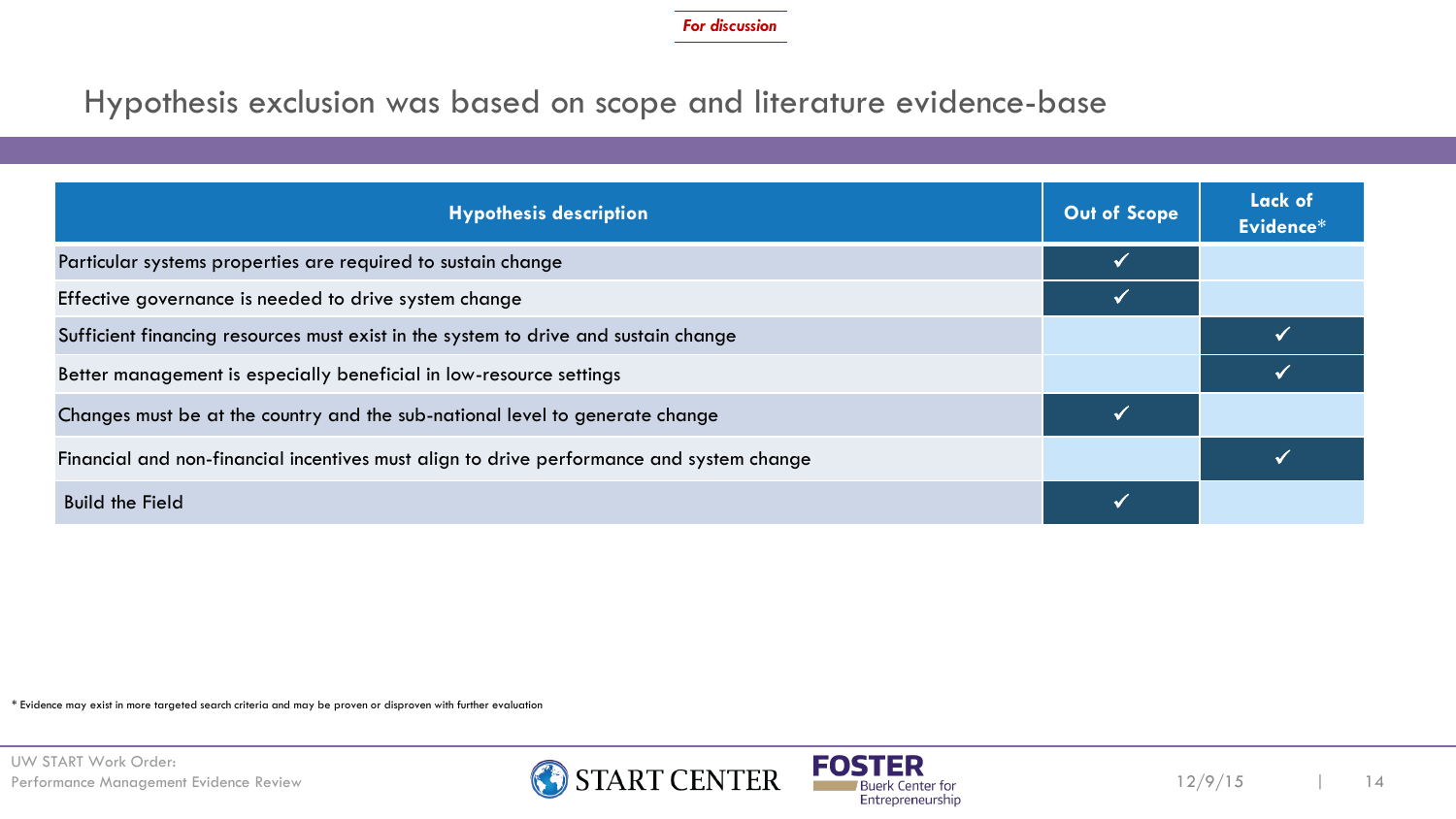### Hypothesis exclusion was based on scope and literature evidence-base

| <b>Hypothesis description</b>                                                            | Out of Scope | <b>Lack of</b><br>Evidence* |
|------------------------------------------------------------------------------------------|--------------|-----------------------------|
| Particular systems properties are required to sustain change                             |              |                             |
| Effective governance is needed to drive system change                                    |              |                             |
| Sufficient financing resources must exist in the system to drive and sustain change      |              |                             |
| Better management is especially beneficial in low-resource settings                      |              |                             |
| Changes must be at the country and the sub-national level to generate change             |              |                             |
| Financial and non-financial incentives must align to drive performance and system change |              |                             |
| <b>Build the Field</b>                                                                   |              |                             |

\* Evidence may exist in more targeted search criteria and may be proven or disproven with further evaluation



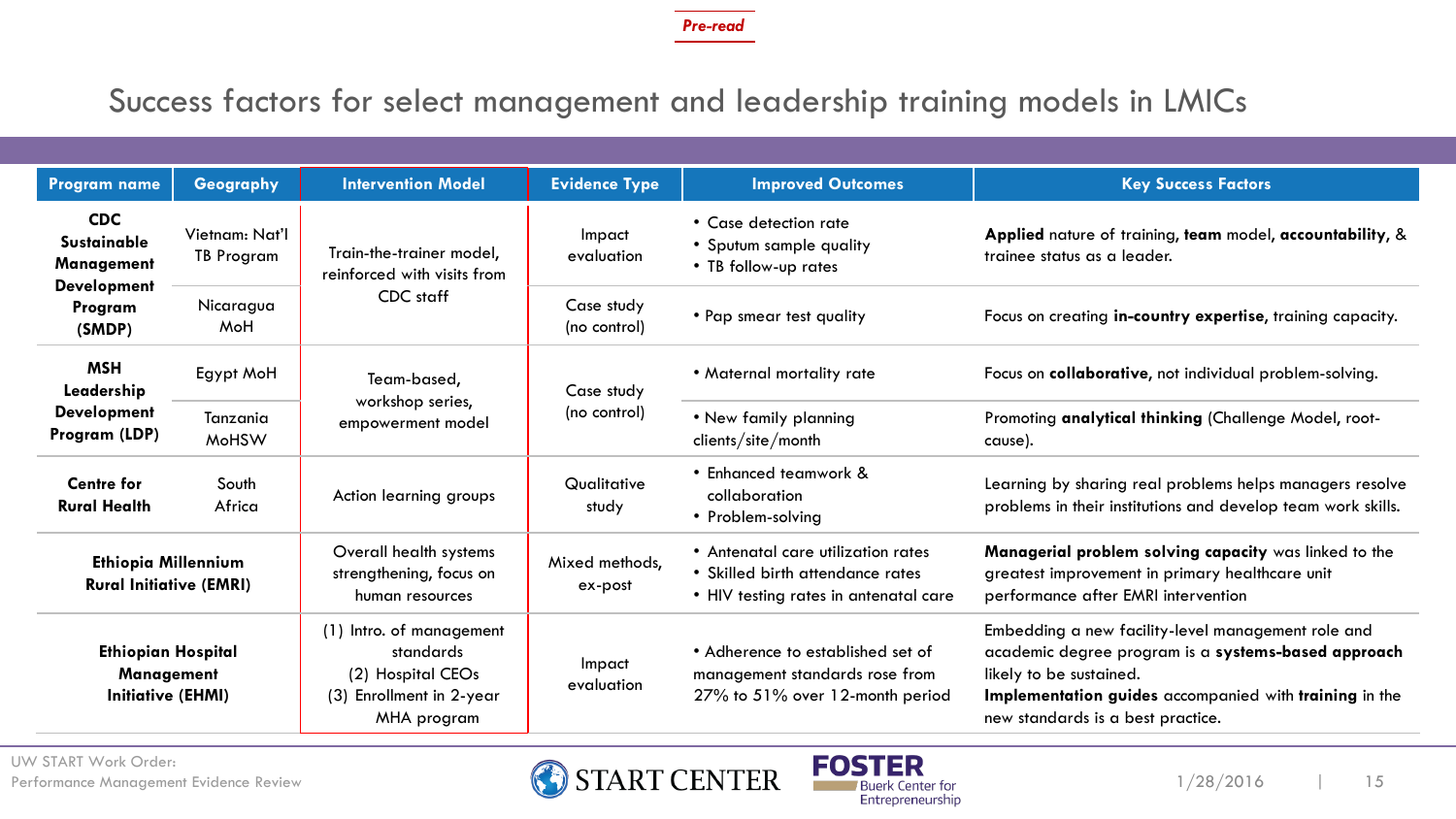### Success factors for select management and leadership training models in LMICs

| <b>Program name</b>                                                                                                                              | Geography                | <b>Intervention Model</b>                                                                             | <b>Evidence Type</b>                                                     | <b>Improved Outcomes</b>                                                                                        | <b>Key Success Factors</b>                                                                                                                                                                                                          |
|--------------------------------------------------------------------------------------------------------------------------------------------------|--------------------------|-------------------------------------------------------------------------------------------------------|--------------------------------------------------------------------------|-----------------------------------------------------------------------------------------------------------------|-------------------------------------------------------------------------------------------------------------------------------------------------------------------------------------------------------------------------------------|
| <b>CDC</b><br>Vietnam: Nat'l<br><b>Sustainable</b><br>Train-the-trainer model,<br><b>TB Program</b><br>Management<br>reinforced with visits from |                          | Impact<br>evaluation                                                                                  | • Case detection rate<br>• Sputum sample quality<br>• TB follow-up rates | Applied nature of training, team model, accountability, &<br>trainee status as a leader.                        |                                                                                                                                                                                                                                     |
| <b>Development</b><br>CDC staff<br>Nicaragua<br>Program<br>MoH<br>(SMDP)                                                                         |                          | Case study<br>(no control)                                                                            | • Pap smear test quality                                                 | Focus on creating in-country expertise, training capacity.                                                      |                                                                                                                                                                                                                                     |
| <b>MSH</b><br>Leadership                                                                                                                         | Egypt MoH                | Team-based,<br>workshop series,<br>empowerment model                                                  | Case study                                                               | • Maternal mortality rate                                                                                       | Focus on collaborative, not individual problem-solving.                                                                                                                                                                             |
| <b>Development</b><br>Program (LDP)                                                                                                              | Tanzania<br><b>MoHSW</b> |                                                                                                       | (no control)                                                             | • New family planning<br>clients/site/month                                                                     | Promoting analytical thinking (Challenge Model, root-<br>cause).                                                                                                                                                                    |
| <b>Centre for</b><br><b>Rural Health</b>                                                                                                         | South<br>Africa          | Action learning groups                                                                                | Qualitative<br>study                                                     | • Enhanced teamwork &<br>collaboration<br>• Problem-solving                                                     | Learning by sharing real problems helps managers resolve<br>problems in their institutions and develop team work skills.                                                                                                            |
| <b>Ethiopia Millennium</b><br><b>Rural Initiative (EMRI)</b>                                                                                     |                          | Overall health systems<br>strengthening, focus on<br>human resources                                  | Mixed methods,<br>ex-post                                                | • Antenatal care utilization rates<br>• Skilled birth attendance rates<br>• HIV testing rates in antenatal care | Managerial problem solving capacity was linked to the<br>greatest improvement in primary healthcare unit<br>performance after EMRI intervention                                                                                     |
| <b>Ethiopian Hospital</b><br><b>Management</b><br><b>Initiative (EHMI)</b>                                                                       |                          | (1) Intro. of management<br>standards<br>(2) Hospital CEOs<br>(3) Enrollment in 2-year<br>MHA program | Impact<br>evaluation                                                     | • Adherence to established set of<br>management standards rose from<br>27% to 51% over 12-month period          | Embedding a new facility-level management role and<br>academic degree program is a systems-based approach<br>likely to be sustained.<br>Implementation guides accompanied with training in the<br>new standards is a best practice. |

UW START Work Order:



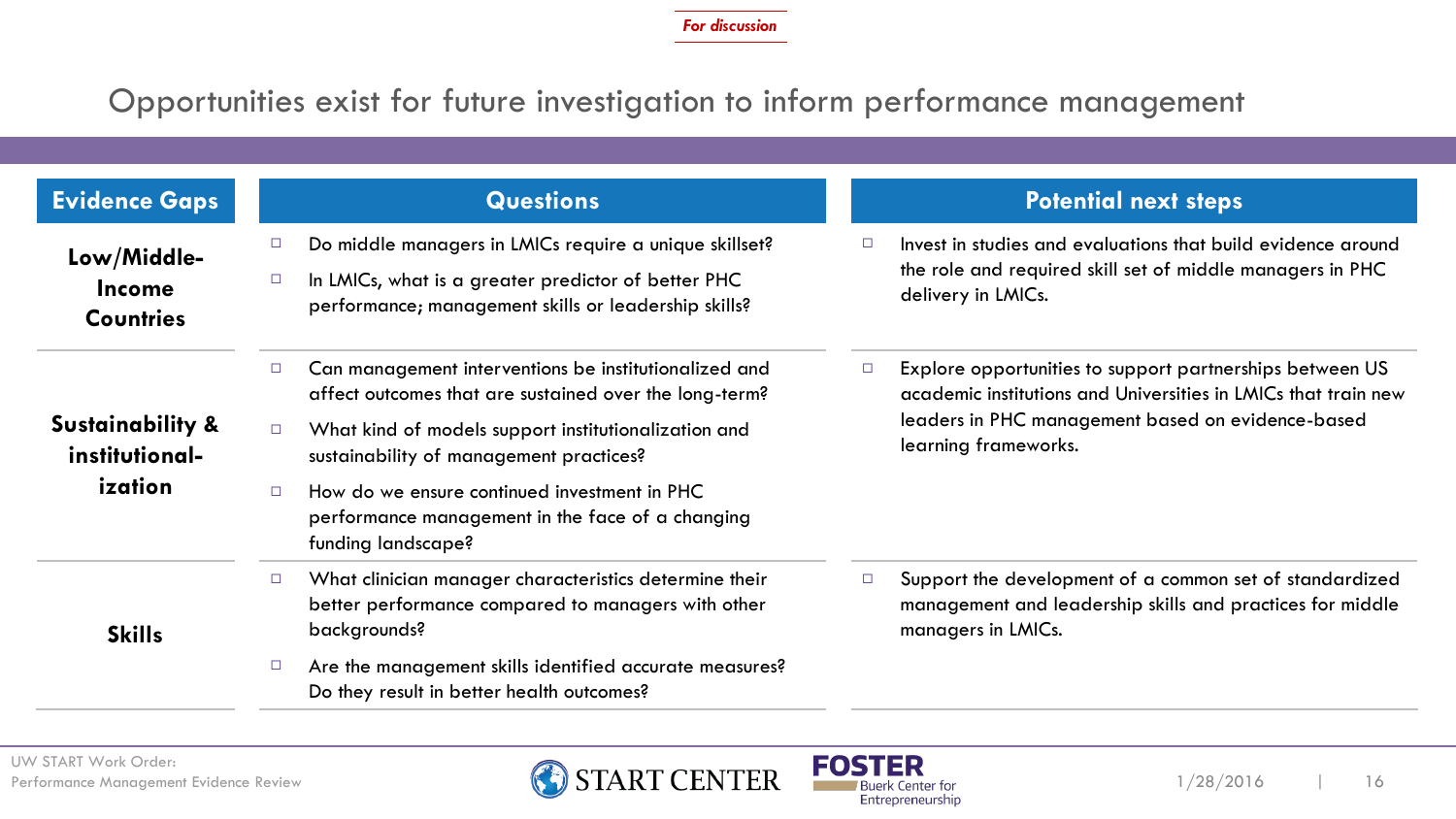### Opportunities exist for future investigation to inform performance management

| <b>Evidence Gaps</b>                             | <b>Questions</b>                                                                                                                                                                                                                       | <b>Potential next steps</b>                                                                                                                                                                                       |
|--------------------------------------------------|----------------------------------------------------------------------------------------------------------------------------------------------------------------------------------------------------------------------------------------|-------------------------------------------------------------------------------------------------------------------------------------------------------------------------------------------------------------------|
| Low/Middle-<br><b>Income</b><br><b>Countries</b> | Do middle managers in LMICs require a unique skillset?<br>$\Box$<br>In LMICs, what is a greater predictor of better PHC<br>$\Box$<br>performance; management skills or leadership skills?                                              | Invest in studies and evaluations that build evidence around<br>$\Box$<br>the role and required skill set of middle managers in PHC<br>delivery in LMICs.                                                         |
| <b>Sustainability &amp;</b><br>institutional-    | Can management interventions be institutionalized and<br>$\Box$<br>affect outcomes that are sustained over the long-term?<br>What kind of models support institutionalization and<br>$\Box$<br>sustainability of management practices? | Explore opportunities to support partnerships between US<br>$\Box$<br>academic institutions and Universities in LMICs that train new<br>leaders in PHC management based on evidence-based<br>learning frameworks. |
| ization                                          | How do we ensure continued investment in PHC<br>$\Box$<br>performance management in the face of a changing<br>funding landscape?                                                                                                       |                                                                                                                                                                                                                   |
| <b>Skills</b>                                    | What clinician manager characteristics determine their<br>$\Box$<br>better performance compared to managers with other<br>backgrounds?                                                                                                 | Support the development of a common set of standardized<br>$\Box$<br>management and leadership skills and practices for middle<br>managers in LMICs.                                                              |
|                                                  | Are the management skills identified accurate measures?<br>$\Box$<br>Do they result in better health outcomes?                                                                                                                         |                                                                                                                                                                                                                   |